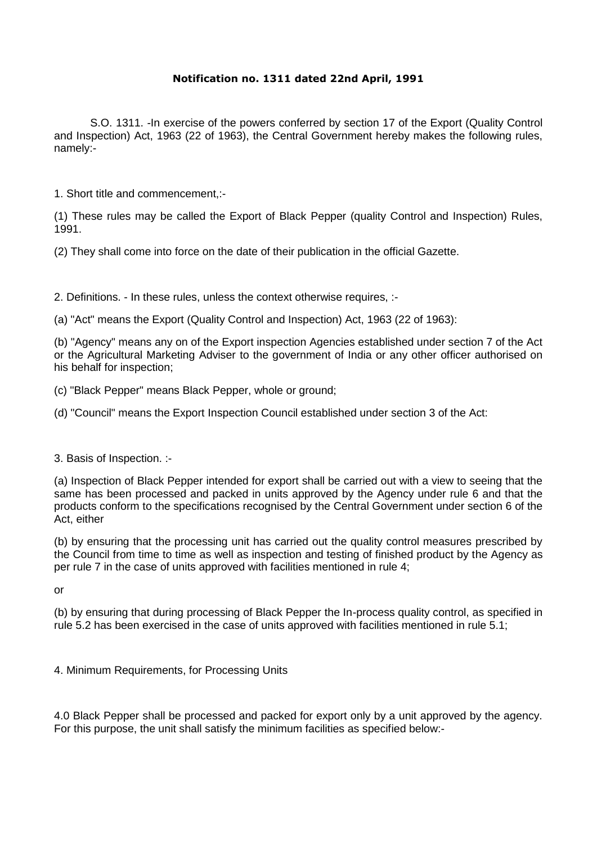## **Notification no. 1311 dated 22nd April, 1991**

S.O. 1311. -In exercise of the powers conferred by section 17 of the Export (Quality Control and Inspection) Act, 1963 (22 of 1963), the Central Government hereby makes the following rules, namely:-

1. Short title and commencement,:-

(1) These rules may be called the Export of Black Pepper (quality Control and Inspection) Rules, 1991.

(2) They shall come into force on the date of their publication in the official Gazette.

2. Definitions. - In these rules, unless the context otherwise requires, :-

(a) "Act" means the Export (Quality Control and Inspection) Act, 1963 (22 of 1963):

(b) "Agency" means any on of the Export inspection Agencies established under section 7 of the Act or the Agricultural Marketing Adviser to the government of India or any other officer authorised on his behalf for inspection;

(c) "Black Pepper" means Black Pepper, whole or ground;

(d) "Council" means the Export Inspection Council established under section 3 of the Act:

3. Basis of Inspection. :-

(a) Inspection of Black Pepper intended for export shall be carried out with a view to seeing that the same has been processed and packed in units approved by the Agency under rule 6 and that the products conform to the specifications recognised by the Central Government under section 6 of the Act, either

(b) by ensuring that the processing unit has carried out the quality control measures prescribed by the Council from time to time as well as inspection and testing of finished product by the Agency as per rule 7 in the case of units approved with facilities mentioned in rule 4;

or

(b) by ensuring that during processing of Black Pepper the In-process quality control, as specified in rule 5.2 has been exercised in the case of units approved with facilities mentioned in rule 5.1;

4. Minimum Requirements, for Processing Units

4.0 Black Pepper shall be processed and packed for export only by a unit approved by the agency. For this purpose, the unit shall satisfy the minimum facilities as specified below:-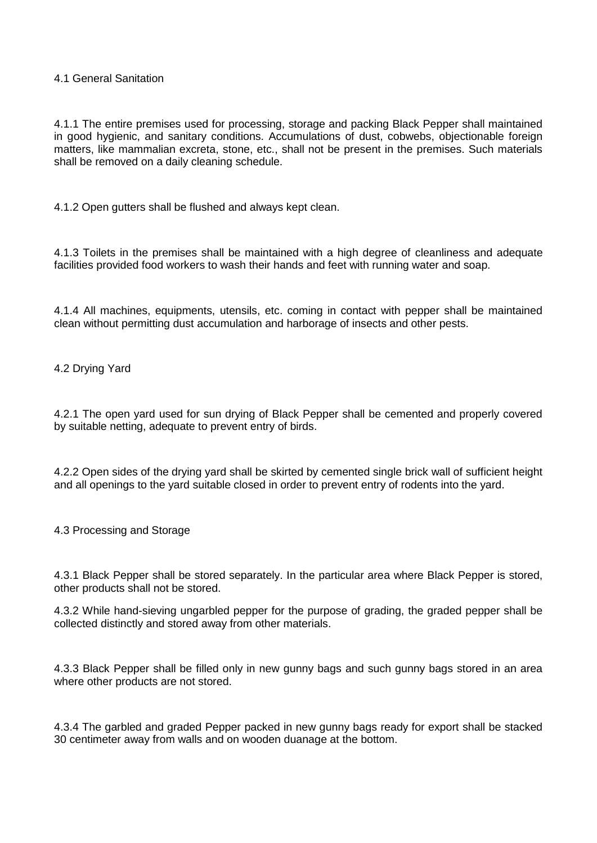## 4.1 General Sanitation

4.1.1 The entire premises used for processing, storage and packing Black Pepper shall maintained in good hygienic, and sanitary conditions. Accumulations of dust, cobwebs, objectionable foreign matters, like mammalian excreta, stone, etc., shall not be present in the premises. Such materials shall be removed on a daily cleaning schedule.

4.1.2 Open gutters shall be flushed and always kept clean.

4.1.3 Toilets in the premises shall be maintained with a high degree of cleanliness and adequate facilities provided food workers to wash their hands and feet with running water and soap.

4.1.4 All machines, equipments, utensils, etc. coming in contact with pepper shall be maintained clean without permitting dust accumulation and harborage of insects and other pests.

4.2 Drying Yard

4.2.1 The open yard used for sun drying of Black Pepper shall be cemented and properly covered by suitable netting, adequate to prevent entry of birds.

4.2.2 Open sides of the drying yard shall be skirted by cemented single brick wall of sufficient height and all openings to the yard suitable closed in order to prevent entry of rodents into the yard.

4.3 Processing and Storage

4.3.1 Black Pepper shall be stored separately. In the particular area where Black Pepper is stored, other products shall not be stored.

4.3.2 While hand-sieving ungarbled pepper for the purpose of grading, the graded pepper shall be collected distinctly and stored away from other materials.

4.3.3 Black Pepper shall be filled only in new gunny bags and such gunny bags stored in an area where other products are not stored.

4.3.4 The garbled and graded Pepper packed in new gunny bags ready for export shall be stacked 30 centimeter away from walls and on wooden duanage at the bottom.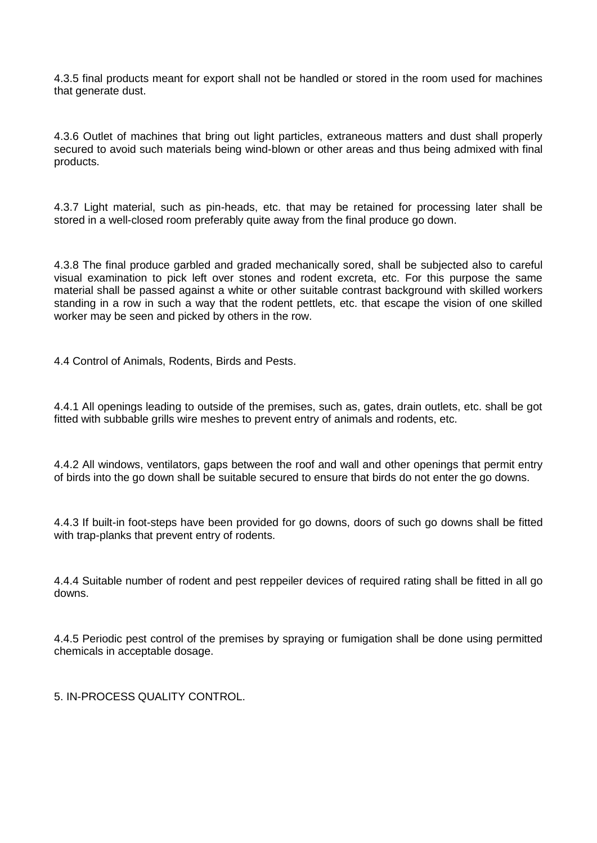4.3.5 final products meant for export shall not be handled or stored in the room used for machines that generate dust.

4.3.6 Outlet of machines that bring out light particles, extraneous matters and dust shall properly secured to avoid such materials being wind-blown or other areas and thus being admixed with final products.

4.3.7 Light material, such as pin-heads, etc. that may be retained for processing later shall be stored in a well-closed room preferably quite away from the final produce go down.

4.3.8 The final produce garbled and graded mechanically sored, shall be subjected also to careful visual examination to pick left over stones and rodent excreta, etc. For this purpose the same material shall be passed against a white or other suitable contrast background with skilled workers standing in a row in such a way that the rodent pettlets, etc. that escape the vision of one skilled worker may be seen and picked by others in the row.

4.4 Control of Animals, Rodents, Birds and Pests.

4.4.1 All openings leading to outside of the premises, such as, gates, drain outlets, etc. shall be got fitted with subbable grills wire meshes to prevent entry of animals and rodents, etc.

4.4.2 All windows, ventilators, gaps between the roof and wall and other openings that permit entry of birds into the go down shall be suitable secured to ensure that birds do not enter the go downs.

4.4.3 If built-in foot-steps have been provided for go downs, doors of such go downs shall be fitted with trap-planks that prevent entry of rodents.

4.4.4 Suitable number of rodent and pest reppeiler devices of required rating shall be fitted in all go downs.

4.4.5 Periodic pest control of the premises by spraying or fumigation shall be done using permitted chemicals in acceptable dosage.

5. IN-PROCESS QUALITY CONTROL.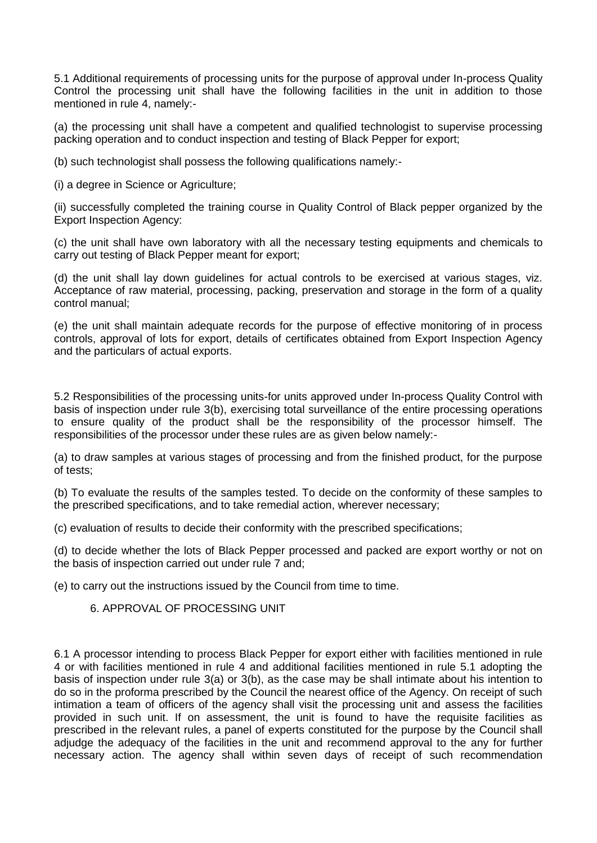5.1 Additional requirements of processing units for the purpose of approval under In-process Quality Control the processing unit shall have the following facilities in the unit in addition to those mentioned in rule 4, namely:-

(a) the processing unit shall have a competent and qualified technologist to supervise processing packing operation and to conduct inspection and testing of Black Pepper for export;

(b) such technologist shall possess the following qualifications namely:-

(i) a degree in Science or Agriculture;

(ii) successfully completed the training course in Quality Control of Black pepper organized by the Export Inspection Agency:

(c) the unit shall have own laboratory with all the necessary testing equipments and chemicals to carry out testing of Black Pepper meant for export;

(d) the unit shall lay down guidelines for actual controls to be exercised at various stages, viz. Acceptance of raw material, processing, packing, preservation and storage in the form of a quality control manual;

(e) the unit shall maintain adequate records for the purpose of effective monitoring of in process controls, approval of lots for export, details of certificates obtained from Export Inspection Agency and the particulars of actual exports.

5.2 Responsibilities of the processing units-for units approved under In-process Quality Control with basis of inspection under rule 3(b), exercising total surveillance of the entire processing operations to ensure quality of the product shall be the responsibility of the processor himself. The responsibilities of the processor under these rules are as given below namely:-

(a) to draw samples at various stages of processing and from the finished product, for the purpose of tests;

(b) To evaluate the results of the samples tested. To decide on the conformity of these samples to the prescribed specifications, and to take remedial action, wherever necessary;

(c) evaluation of results to decide their conformity with the prescribed specifications;

(d) to decide whether the lots of Black Pepper processed and packed are export worthy or not on the basis of inspection carried out under rule 7 and;

(e) to carry out the instructions issued by the Council from time to time.

## 6. APPROVAL OF PROCESSING UNIT

6.1 A processor intending to process Black Pepper for export either with facilities mentioned in rule 4 or with facilities mentioned in rule 4 and additional facilities mentioned in rule 5.1 adopting the basis of inspection under rule 3(a) or 3(b), as the case may be shall intimate about his intention to do so in the proforma prescribed by the Council the nearest office of the Agency. On receipt of such intimation a team of officers of the agency shall visit the processing unit and assess the facilities provided in such unit. If on assessment, the unit is found to have the requisite facilities as prescribed in the relevant rules, a panel of experts constituted for the purpose by the Council shall adjudge the adequacy of the facilities in the unit and recommend approval to the any for further necessary action. The agency shall within seven days of receipt of such recommendation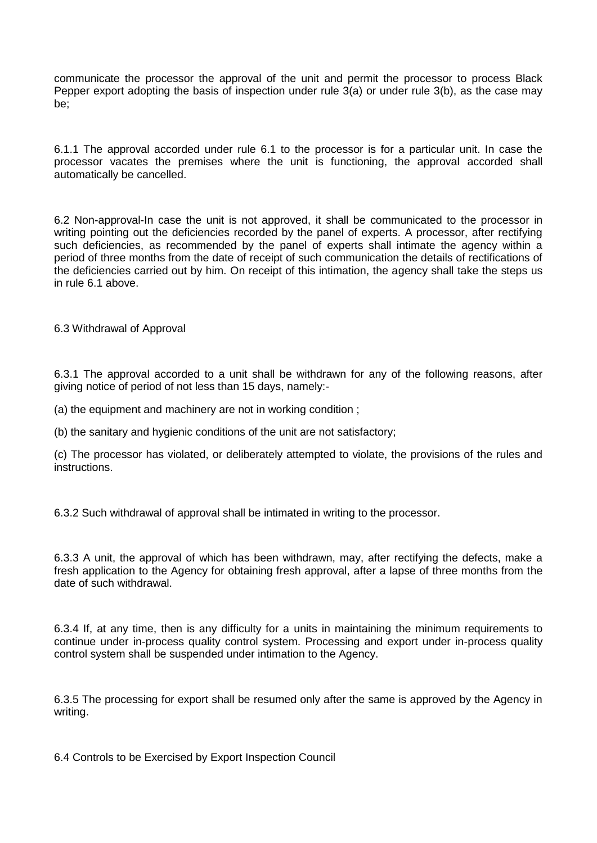communicate the processor the approval of the unit and permit the processor to process Black Pepper export adopting the basis of inspection under rule 3(a) or under rule 3(b), as the case may be;

6.1.1 The approval accorded under rule 6.1 to the processor is for a particular unit. In case the processor vacates the premises where the unit is functioning, the approval accorded shall automatically be cancelled.

6.2 Non-approval-In case the unit is not approved, it shall be communicated to the processor in writing pointing out the deficiencies recorded by the panel of experts. A processor, after rectifying such deficiencies, as recommended by the panel of experts shall intimate the agency within a period of three months from the date of receipt of such communication the details of rectifications of the deficiencies carried out by him. On receipt of this intimation, the agency shall take the steps us in rule 6.1 above.

6.3 Withdrawal of Approval

6.3.1 The approval accorded to a unit shall be withdrawn for any of the following reasons, after giving notice of period of not less than 15 days, namely:-

(a) the equipment and machinery are not in working condition ;

(b) the sanitary and hygienic conditions of the unit are not satisfactory;

(c) The processor has violated, or deliberately attempted to violate, the provisions of the rules and instructions.

6.3.2 Such withdrawal of approval shall be intimated in writing to the processor.

6.3.3 A unit, the approval of which has been withdrawn, may, after rectifying the defects, make a fresh application to the Agency for obtaining fresh approval, after a lapse of three months from the date of such withdrawal.

6.3.4 If, at any time, then is any difficulty for a units in maintaining the minimum requirements to continue under in-process quality control system. Processing and export under in-process quality control system shall be suspended under intimation to the Agency.

6.3.5 The processing for export shall be resumed only after the same is approved by the Agency in writing.

6.4 Controls to be Exercised by Export Inspection Council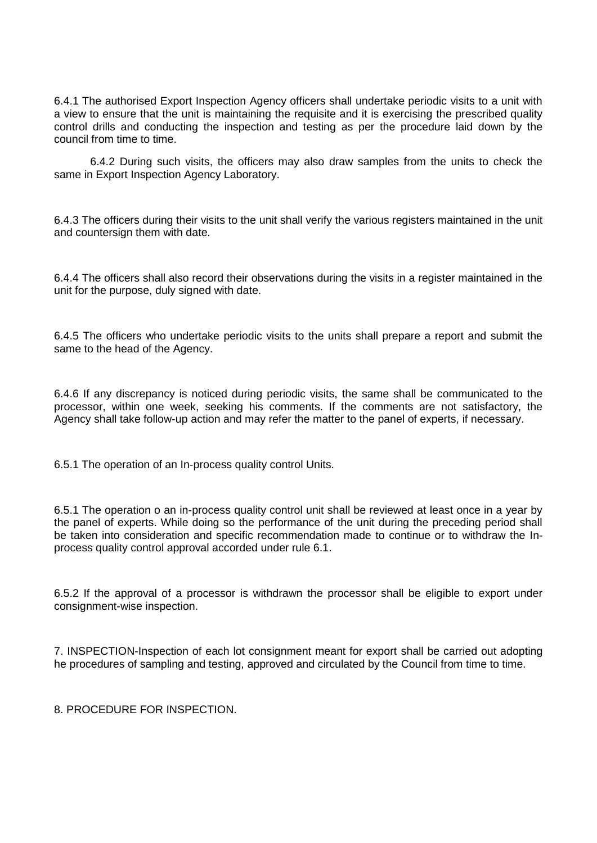6.4.1 The authorised Export Inspection Agency officers shall undertake periodic visits to a unit with a view to ensure that the unit is maintaining the requisite and it is exercising the prescribed quality control drills and conducting the inspection and testing as per the procedure laid down by the council from time to time.

6.4.2 During such visits, the officers may also draw samples from the units to check the same in Export Inspection Agency Laboratory.

6.4.3 The officers during their visits to the unit shall verify the various registers maintained in the unit and countersign them with date.

6.4.4 The officers shall also record their observations during the visits in a register maintained in the unit for the purpose, duly signed with date.

6.4.5 The officers who undertake periodic visits to the units shall prepare a report and submit the same to the head of the Agency.

6.4.6 If any discrepancy is noticed during periodic visits, the same shall be communicated to the processor, within one week, seeking his comments. If the comments are not satisfactory, the Agency shall take follow-up action and may refer the matter to the panel of experts, if necessary.

6.5.1 The operation of an In-process quality control Units.

6.5.1 The operation o an in-process quality control unit shall be reviewed at least once in a year by the panel of experts. While doing so the performance of the unit during the preceding period shall be taken into consideration and specific recommendation made to continue or to withdraw the Inprocess quality control approval accorded under rule 6.1.

6.5.2 If the approval of a processor is withdrawn the processor shall be eligible to export under consignment-wise inspection.

7. INSPECTION-Inspection of each lot consignment meant for export shall be carried out adopting he procedures of sampling and testing, approved and circulated by the Council from time to time.

8. PROCEDURE FOR INSPECTION.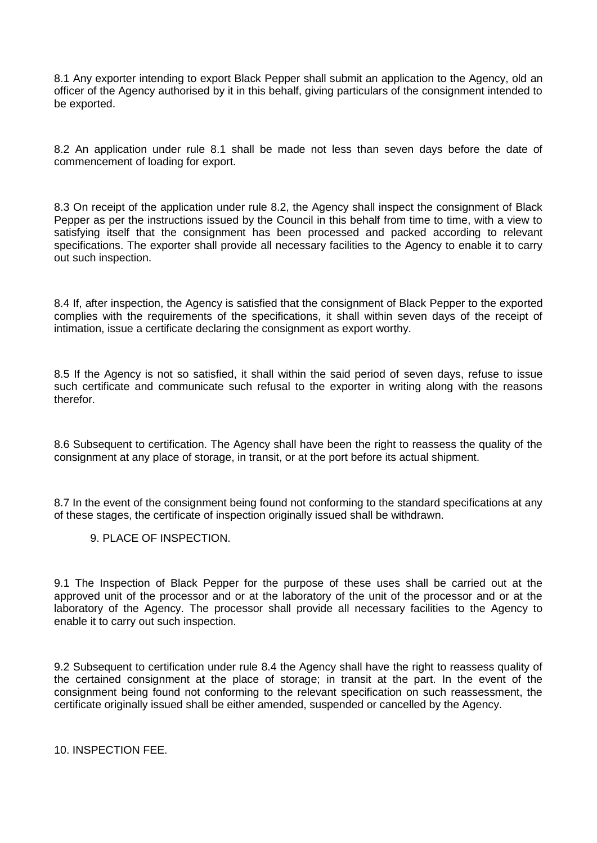8.1 Any exporter intending to export Black Pepper shall submit an application to the Agency, old an officer of the Agency authorised by it in this behalf, giving particulars of the consignment intended to be exported.

8.2 An application under rule 8.1 shall be made not less than seven days before the date of commencement of loading for export.

8.3 On receipt of the application under rule 8.2, the Agency shall inspect the consignment of Black Pepper as per the instructions issued by the Council in this behalf from time to time, with a view to satisfying itself that the consignment has been processed and packed according to relevant specifications. The exporter shall provide all necessary facilities to the Agency to enable it to carry out such inspection.

8.4 If, after inspection, the Agency is satisfied that the consignment of Black Pepper to the exported complies with the requirements of the specifications, it shall within seven days of the receipt of intimation, issue a certificate declaring the consignment as export worthy.

8.5 If the Agency is not so satisfied, it shall within the said period of seven days, refuse to issue such certificate and communicate such refusal to the exporter in writing along with the reasons therefor.

8.6 Subsequent to certification. The Agency shall have been the right to reassess the quality of the consignment at any place of storage, in transit, or at the port before its actual shipment.

8.7 In the event of the consignment being found not conforming to the standard specifications at any of these stages, the certificate of inspection originally issued shall be withdrawn.

9. PLACE OF INSPECTION.

9.1 The Inspection of Black Pepper for the purpose of these uses shall be carried out at the approved unit of the processor and or at the laboratory of the unit of the processor and or at the laboratory of the Agency. The processor shall provide all necessary facilities to the Agency to enable it to carry out such inspection.

9.2 Subsequent to certification under rule 8.4 the Agency shall have the right to reassess quality of the certained consignment at the place of storage; in transit at the part. In the event of the consignment being found not conforming to the relevant specification on such reassessment, the certificate originally issued shall be either amended, suspended or cancelled by the Agency.

10. INSPECTION FEE.